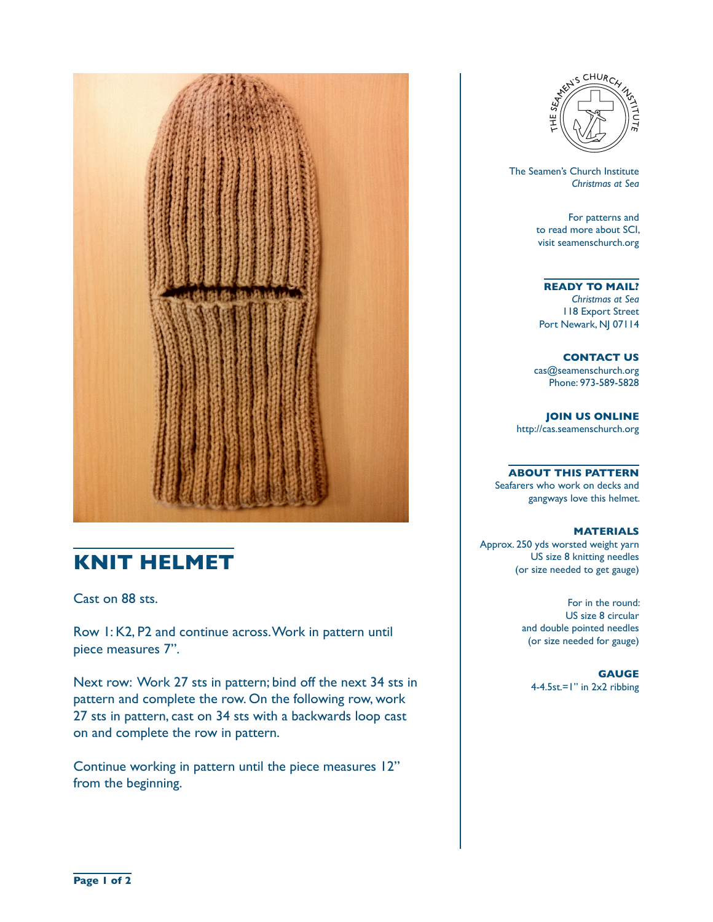

## **KNIT HELMET**

Cast on 88 sts.

Row 1: K2, P2 and continue across. Work in pattern until piece measures 7".

Next row: Work 27 sts in pattern; bind off the next 34 sts in pattern and complete the row. On the following row, work 27 sts in pattern, cast on 34 sts with a backwards loop cast on and complete the row in pattern.

Continue working in pattern until the piece measures 12" from the beginning.



 The Seamen's Church Institute *Christmas at Sea*

> For patterns and to read more about SCI, visit seamenschurch.org

## **READY TO MAIL?**

*Christmas at Sea* 118 Export Street Port Newark, NJ 07114

**CONTACT US** cas@seamenschurch.org Phone: 973-589-5828

**JOIN US ONLINE**  http://cas.seamenschurch.org

**ABOUT THIS PATTERN** Seafarers who work on decks and

gangways love this helmet.

## **MATERIALS**

Approx. 250 yds worsted weight yarn US size 8 knitting needles (or size needed to get gauge)

> For in the round: US size 8 circular and double pointed needles (or size needed for gauge)

**GAUGE** 4-4.5st.=1" in 2x2 ribbing